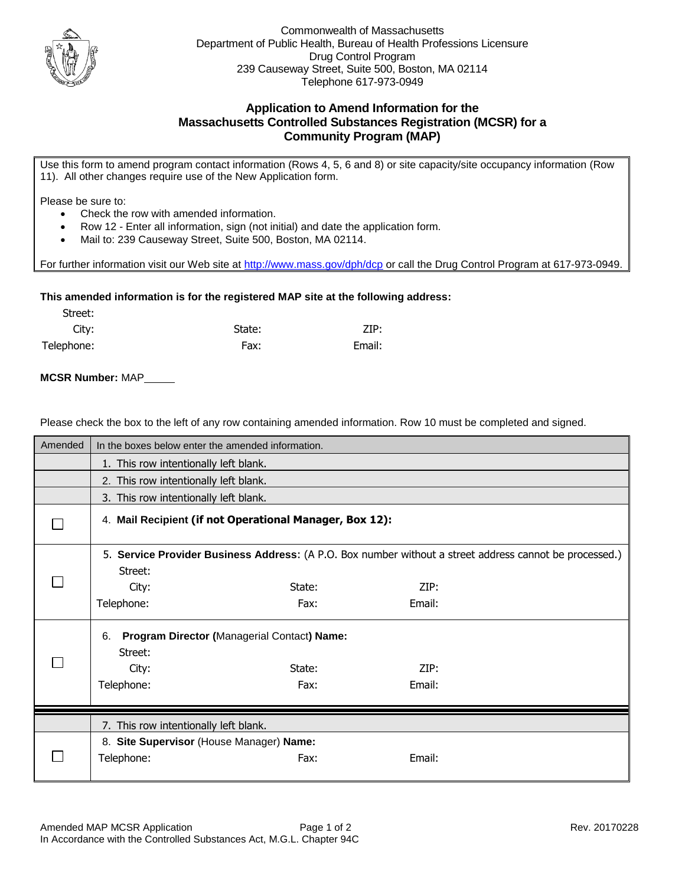

Commonwealth of Massachusetts Department of Public Health, Bureau of Health Professions Licensure Drug Control Program 239 Causeway Street, Suite 500, Boston, MA 02114 Telephone 617-973-0949

## **Application to Amend Information for the Massachusetts Controlled Substances Registration (MCSR) for a Community Program (MAP)**

Use this form to amend program contact information (Rows 4, 5, 6 and 8) or site capacity/site occupancy information (Row 11). All other changes require use of the New Application form.

Please be sure to:

Street:

- Check the row with amended information.
- Row 12 Enter all information, sign (not initial) and date the application form.
- Mail to: 239 Causeway Street, Suite 500, Boston, MA 02114.

For further information visit our Web site at<http://www.mass.gov/dph/dcp> or call the Drug Control Program at 617-973-0949.

## **This amended information is for the registered MAP site at the following address:**

|        |        | street:    |
|--------|--------|------------|
| ZIP:   | State: | City:      |
| Email: | Fax:   | Telephone: |

## **MCSR Number:** MAP

Please check the box to the left of any row containing amended information. Row 10 must be completed and signed.

| Amended                                                                                                 | In the boxes below enter the amended information.       |                                             |        |  |  |  |  |
|---------------------------------------------------------------------------------------------------------|---------------------------------------------------------|---------------------------------------------|--------|--|--|--|--|
|                                                                                                         | 1. This row intentionally left blank.                   |                                             |        |  |  |  |  |
|                                                                                                         | 2. This row intentionally left blank.                   |                                             |        |  |  |  |  |
|                                                                                                         | 3. This row intentionally left blank.                   |                                             |        |  |  |  |  |
|                                                                                                         | 4. Mail Recipient (if not Operational Manager, Box 12): |                                             |        |  |  |  |  |
| 5. Service Provider Business Address: (A P.O. Box number without a street address cannot be processed.) |                                                         |                                             |        |  |  |  |  |
|                                                                                                         | Street:                                                 |                                             |        |  |  |  |  |
|                                                                                                         | City:                                                   | State:                                      | ZIP:   |  |  |  |  |
|                                                                                                         | Telephone:                                              | Fax:                                        | Email: |  |  |  |  |
|                                                                                                         | 6.                                                      | Program Director (Managerial Contact) Name: |        |  |  |  |  |
|                                                                                                         | Street:                                                 |                                             |        |  |  |  |  |
|                                                                                                         | City:                                                   | State:                                      | ZIP:   |  |  |  |  |
|                                                                                                         | Telephone:                                              | Fax:                                        | Email: |  |  |  |  |
|                                                                                                         |                                                         |                                             |        |  |  |  |  |
|                                                                                                         | 7. This row intentionally left blank.                   |                                             |        |  |  |  |  |
|                                                                                                         | 8. Site Supervisor (House Manager) Name:                |                                             |        |  |  |  |  |
|                                                                                                         | Telephone:                                              | Fax:                                        | Email: |  |  |  |  |
|                                                                                                         |                                                         |                                             |        |  |  |  |  |